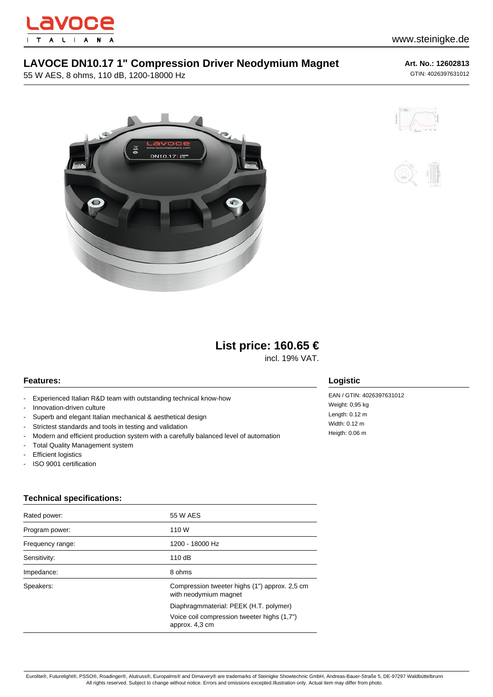

## **LAVOCE DN10.17 1" Compression Driver Neodymium Magnet**

55 W AES, 8 ohms, 110 dB, 1200-18000 Hz

**Art. No.: 12602813** GTIN: 4026397631012







# **List price: 160.65 €**

incl. 19% VAT.

### **Features:**

- Experienced Italian R&D team with outstanding technical know-how
- Innovation-driven culture
- Superb and elegant Italian mechanical & aesthetical design
- Strictest standards and tools in testing and validation
- Modern and efficient production system with a carefully balanced level of automation
- Total Quality Management system
- Efficient logistics
- ISO 9001 certification

### **Technical specifications:**

| Rated power:     | 55 W AES                                                               |
|------------------|------------------------------------------------------------------------|
| Program power:   | 110 W                                                                  |
| Frequency range: | 1200 - 18000 Hz                                                        |
| Sensitivity:     | 110dB                                                                  |
| Impedance:       | 8 ohms                                                                 |
| Speakers:        | Compression tweeter highs (1") approx. 2,5 cm<br>with neodymium magnet |
|                  | Diaphragmmaterial: PEEK (H.T. polymer)                                 |
|                  | Voice coil compression tweeter highs (1,7")<br>approx. 4,3 cm          |

#### **Logistic**

EAN / GTIN: 4026397631012 Weight: 0,95 kg Length: 0.12 m Width: 0.12 m Heigth: 0.06 m